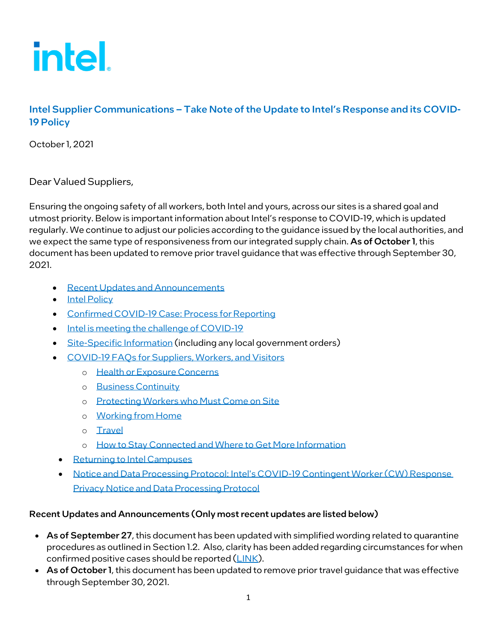

# Intel Supplier Communications – Take Note of the Update to Intel's Response and its COVID-19 Policy

October1, 2021

Dear Valued Suppliers,

Ensuring the ongoing safety of all workers, both Intel and yours, across our sites is a shared goal and utmost priority. Below is important information about Intel's response to COVID-19, which is updated regularly. We continue to adjust our policies according to the guidance issued by the local authorities, and we expect the same type of responsiveness from our integrated supply chain. As of October 1, this document has been updated to remove prior travel guidance that was effective through September 30, 2021.

- <span id="page-0-1"></span>• [Recent Updates and Announcements](#page-0-0)
- [Intel Policy](#page-3-0)
- [Confirmed COVID-19 Case:](#page-4-0) Process for Reporting
- [Intel is meeting the challenge of COVID-19](#page-4-1)
- [Site-Specific Information](#page-5-0) (including any local government orders)
- COVID-19 [FAQs for Suppliers, Workers, and Visitors](#page-7-0)
	- o [Health or Exposure Concerns](#page-7-1)
	- o [Business Continuity](#page-11-0)
	- o [Protecting Workers who Must Come on Site](#page-12-0)
	- o Working from Home
	- o [Travel](#page-17-0)
	- o [How to Stay Connected and Where to Get More Information](#page-18-0)
	- [Returning to Intel Campuses](#page-18-1)
	- Notice and Data Processing Protocol: [Intel's COVID-19 Contingent Worker \(CW\) Response](#page-18-1)  [Privacy Notice and Data Processing Protocol](#page-18-1)

#### <span id="page-0-0"></span>Recent Updates and Announcements (Only most recent updates are listed below)

- As of September 27, this document has been updated with simplified wording related to quarantine procedures as outlined in Section 1.2. Also, clarity has been added regarding circumstances for when confirmed positive cases should be reported [\(LINK\)](#page-4-0).
- As of October 1, this document has been updated to remove prior travel quidance that was effective through September 30, 2021.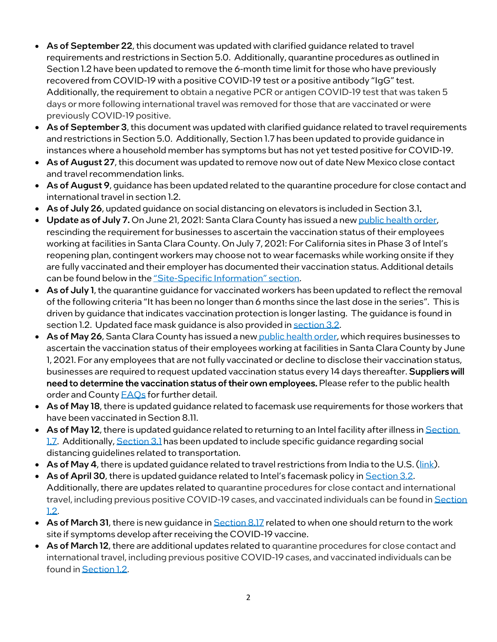- As of September 22, this document was updated with clarified guidance related to travel requirements and restrictions in Section 5.0. Additionally, quarantine procedures as outlined in Section 1.2 have been updated to remove the 6-month time limit for those who have previously recovered from COVID-19 with a positive COVID-19 test or a positive antibody "IgG" test. Additionally, the requirement to obtain a negative PCR or antigen COVID-19 test that was taken 5 days or more following international travel was removed for those that are vaccinated or were previously COVID-19 positive.
- As of September 3, this document was updated with clarified guidance related to travel requirements and restrictions in Section 5.0. Additionally, Section 1.7 has been updated to provide guidance in instances where a household member has symptoms but has not yet tested positive for COVID-19.
- As of August 27, this document was updated to remove now out of date New Mexico close contact and travel recommendation links.
- As of August 9, guidance has been updated related to the quarantine procedure for close contact and international travel in section 1.2.
- As of July 26, updated guidance on social distancing on elevators is included i[n Section 3.1.](#page-12-1)
- Update as of July 7. On June 21, 2021: Santa Clara County has issued a new [public health order,](https://covid19.sccgov.org/order-health-officer-06-21-2021-phasing-out-May-18-health-order) rescinding the requirement for businesses to ascertain the vaccination status of their employees working at facilities in Santa Clara County. On July 7, 2021: For California sites in Phase 3 of Intel's reopening plan, contingent workers may choose not to wear facemasks while working onsite if they are fully vaccinated and their employer has documented their vaccination status. Additional details can be found below in the "Site-[Specific Information" section](#page-5-0).
- As of July 1, the quarantine guidance for vaccinated workers has been updated to reflect the removal of the following criteria "It has been no longer than 6 months since the last dose in the series". This is driven by guidance that indicates vaccination protection is longer lasting. The guidance is found in section 1.2. Updated face mask guidance is also provided i[n section 3.2.](#page-14-0)
- As of May 26, Santa Clara County has issued a new [public health order,](https://covid19.sccgov.org/order-health-officer-05-18-2021-focused-safety-measures) which requires businesses to ascertain the vaccination status of their employees working at facilities in Santa Clara County by June 1, 2021. For any employees that are not fully vaccinated or decline to disclose their vaccination status, businesses are required to request updated vaccination status every 14 days thereafter. Suppliers will need to determine the vaccination status of their own employees. Please refer to the public health order and County **FAQs** for further detail.
- As of May 18, there is updated guidance related to facemask use requirements for those workers that have been vaccinated in Section 8.11.
- As of May 12, there is updated guidance related to returning to an Intel facility after illness in Section [1.7.](#page-9-0) Additionally[, Section 3.1](#page-12-1) has been updated to include specific guidance regarding social distancing guidelines related to transportation.
- As of May 4, there is updated guidance related to travel restrictions from India to the U.S. ( $\frac{\text{link}}{\text{link}}$ ).
- As of April 30, there is updated quidance related to Intel's facemask policy in [Section 3.2.](#page-14-0) Additionally, there are updates related to quarantine procedures for close contact and international travel, including previous positive COVID-19 cases, and vaccinated individuals can be found i[n Section](#page-7-2)  [1.2.](#page-7-2)
- As of March 31, there is new guidance i[n Section 8.17](#page-19-0) related to when one should return to the work site if symptoms develop after receiving the COVID-19 vaccine.
- As of March 12, there are additional updates related to quarantine procedures for close contact and international travel, including previous positive COVID-19 cases, and vaccinated individuals can be found i[n Section 1.2.](#page-7-2)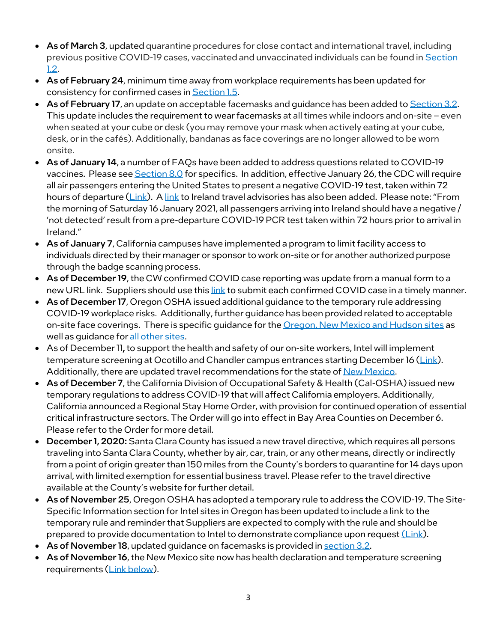- As of March 3, updated quarantine procedures for close contact and international travel, including previous positive COVID-19 cases, vaccinated and unvaccinated individuals can be found in Section [1.2.](#page-7-2)
- As of February 24, minimum time away from workplace requirements has been updated for consistency for confirmed cases in [Section 1.5.](#page-8-0)
- As of February 17, an update on acceptable facemasks and quidance has been added to [Section 3.2.](#page-14-0) This update includes the requirement to wear facemasks at all times while indoors and on-site – even when seated at your cube or desk (you may remove your mask when actively eating at your cube, desk, or in the cafés). Additionally, bandanas as face coverings are no longer allowed to be worn onsite.
- As of January 14, a number of FAQs have been added to address questions related to COVID-19 vaccines. Please see **Section 8.0** for specifics. In addition, effective January 26, the CDC will require all air passengers entering the United States to present a negative COVID-19 test, taken within 72 hours of departure [\(Link\)](https://travel.state.gov/content/travel/en/traveladvisories/ea/covid-19-information.html#ExternalPopup). [A link](https://www.dfa.ie/travel/travel-advice/coronavirus/general-covid-19-travel-advisory/) to Ireland travel advisories has also been added. Please note: "From the morning of Saturday 16 January 2021, all passengers arriving into Ireland should have a negative / 'not detected' result from a pre-departure COVID-19 PCR test taken within 72 hours prior to arrival in Ireland."
- As of January 7, California campuses have implemented a program to limit facility access to individuals directed by their manager or sponsor to work on-site or for another authorized purpose through the badge scanning process.
- As of December 19, the CW confirmed COVID case reporting was update from a manual form to a new URL link. Suppliers should use thi[s link](https://intelcorporationltd.formstack.com/forms/confirmed_CW_covid19) to submit each confirmed COVID case in a timely manner.
- As of December 17, Oregon OSHA issue[d additional guidance](https://targetmailer.intel.com/TMService/Redir.aspx?ID=4601526) to the temporary rule addressing COVID-19 workplace risks. Additionally, further guidance has been provided related to acceptable on-site face coverings. There is specific guidance for the [Oregon, New Mexico and Hudson sites](https://www.intel.com/content/www/us/en/supplier/documents/acceptable-face-coverings-or-nm-hudson.html) as well as guidance for [all other sites.](https://www.intel.com/content/www/us/en/supplier/documents/acceptable-face-coverings.html)
- As of December 11, to support the health and safety of our on-site workers, Intel will implement temperature screening at Ocotillo and Chandler campus entrances starting December 16 [\(Link\)](https://www.intel.com/content/www/us/en/supplier/documents/ocotillo-site-access-info.html). Additionally, there are updated travel recommendations for the state of [New Mexico.](https://cv.nmhealth.org/travel-recommendations/)
- As of December 7, the California Division of Occupational Safety & Health (Cal-OSHA) issued new [temporary regulations to address COVID-19](https://www.dir.ca.gov/DIRNews/2020/2020-99.html) that will affect California employers. Additionally, California announced a Regional Stay Home Order, with provision for continued operation of essential critical infrastructure sectors. The Order will go into effect in Bay Area Counties on December 6. Please refer to the Order for more detail.
- December 1, 2020: Santa Clara County has issued a new travel directive, which requires all persons traveling into Santa Clara County, whether by air, car, train, or any other means, directly or indirectly from a point of origin greater than 150 miles from the County's borders to quarantine for 14 days upon arrival, with limited exemption for essential business travel. Please refer to the travel directive available at the [County's website](https://www.sccgov.org/sites/covid19/Pages/public-health-orders.aspx) for further detail.
- As of November 25, Oregon OSHA has adopted a temporary rule to address the COVID-19. The Site-Specific Information section for Intel sites in Oregon has been updated to include a link to the temporary rule and reminder that Suppliers are expected to comply with the rule and should be prepared to provide documentation to Intel to demonstrate compliance upon reques[t \(Link\)](#page-6-0).
- As of November 18, updated guidance on facemasks is provided i[n section 3.2.](#page-14-0)
- As of November 16, the New Mexico site now has health declaration and temperature screening requirements [\(Link below\)](#page-6-1).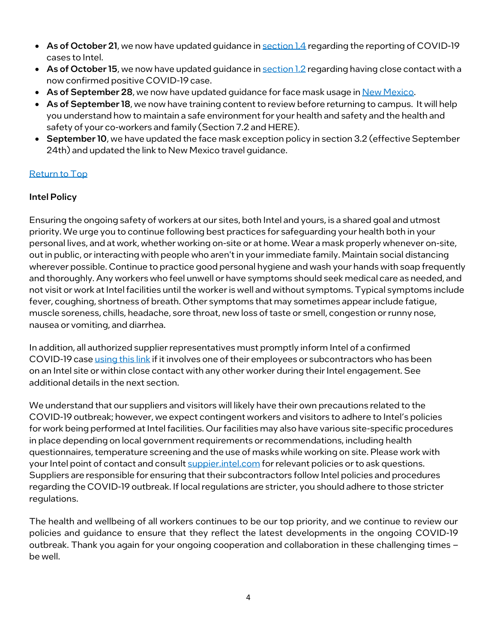- As of October 21, we now have updated quidance i[n section 1.4](#page-8-1) regarding the reporting of COVID-19 cases to Intel.
- As of October 15, we now have updated guidance i[n section 1.2](#page-7-3) regarding having close contact with a now confirmed positive COVID-19 case.
- As of September 28, we now have updated guidance for face mask usage in <u>New Mexico</u>.
- As of September 18, we now have training content to review before returning to campus. It will help you understand how to maintain a safe environment for your health and safety and the health and safety of your co-workers and family (Sectio[n 7.2](#page-18-2) an[d HERE\)](https://www.intel.com/content/www/us/en/supplier/documents/covid-pandemic-training.html).
- September 10, we have updated th[e face mask exception policy](#page-14-0) in section 3.2 (effective September 24th) and updated the link t[o New Mexico travel guidance.](#page-6-1)

## [Return to Top](#page-0-1)

## <span id="page-3-0"></span>Intel Policy

Ensuring the ongoing safety of workers at our sites, both Intel and yours, is a shared goal and utmost priority. We urge you to continue following best practices for safeguarding your health both in your personal lives, and at work, whether working on-site or at home. Wear a mask properly whenever on-site, out in public, or interacting with people who aren't in your immediate family. Maintain social distancing wherever possible. Continue to practice good personal hygiene and wash your hands with soap frequently and thoroughly. Any workers who feel unwell or have symptoms should seek medical care as needed, and not visit or work at Intel facilities until the worker is well and without symptoms. Typical symptoms include fever, coughing, shortness of breath. Other symptoms that may sometimes appear include fatigue, muscle soreness, chills, headache, sore throat, new loss of taste or smell, congestion or runny nose, nausea or vomiting, and diarrhea.

In addition, all authorized supplier representatives must promptly inform Intel of a confirmed COVID-19 cas[e using this link](https://intelcorporationltd.formstack.com/forms/confirmed_CW_covid19) if it involves one of their employees or subcontractors who has been on an Intel site or within close contact with any other worker during their Intel engagement. See additional details in the next section.

We understand that our suppliers and visitors will likely have their own precautions related to the COVID-19 outbreak; however, we expect contingent workers and visitors to adhere to Intel's policies for work being performed at Intel facilities. Our facilities may also have various site-specific procedures in place depending on local government requirements or recommendations, including health questionnaires, temperature screening and the use of masks while working on site. Please work with your Intel point of contact and consult suppier intel.com for relevant policies or to ask questions. Suppliers are responsible for ensuring that their subcontractors follow Intel policies and procedures regarding the COVID-19 outbreak. If local regulations are stricter, you should adhere to those stricter regulations.

The health and wellbeing of all workers continues to be our top priority, and we continue to review our policies and guidance to ensure that they reflect the latest developments in the ongoing COVID-19 outbreak. Thank you again for your ongoing cooperation and collaboration in these challenging times – be well.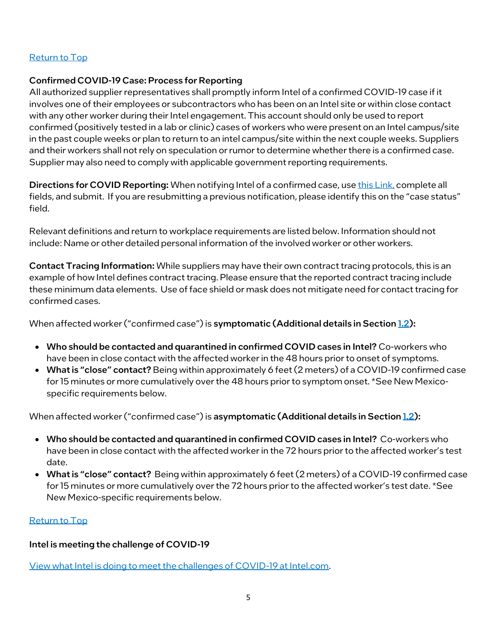### [Return to Top](#page-0-1)

#### <span id="page-4-0"></span>Confirmed COVID-19 Case: Process for Reporting

All authorized supplier representatives shall promptly inform Intel of a confirmed COVID-19 case if it involves one of their employees or subcontractors who has been on an Intel site or within close contact with any other worker during their Intel engagement. This account should only be used to report confirmed (positively tested in a lab or clinic) cases of workers who were present on an Intel campus/site in the past couple weeks or plan to return to an intel campus/site within the next couple weeks. Suppliers and their workers shall not rely on speculation or rumor to determine whether there is a confirmed case. Supplier may also need to comply with applicable government reporting requirements.

Directions for COVID Reporting: When notifying Intel of a confirmed case, use [this Link,](https://intelcorporationltd.formstack.com/forms/confirmed_CW_covid19) complete all fields, and submit. If you are resubmitting a previous notification, please identify this on the "case status" field.

Relevant definitions and return to workplace requirements are listed below. Information should not include: Name or other detailed personal information of the involved worker or other workers.

Contact Tracing Information: While suppliers may have their own contract tracing protocols, this is an example of how Intel defines contract tracing. Please ensure that the reported contract tracing include these minimum data elements. Use of face shield or mask does not mitigate need for contact tracing for confirmed cases.

When affected worker ("confirmed case") is symptomatic (Additional details in Sectio[n 1.2\)](#page-7-2):

- Who should be contacted and quarantined in confirmed COVID cases in Intel? Co-workers who have been in close contact with the affected worker in the 48 hours prior to onset of symptoms.
- What is "close" contact? Being within approximately 6 feet (2 meters) of a COVID-19 confirmed case for 15 minutes or more cumulatively over the 48 hours prior to symptom onset. \*See New Mexicospecific requirements below.

When affected worker ("confirmed case") is asymptomatic (Additional details in Sectio[n 1.2\)](#page-7-2):

- Who should be contacted and quarantined in confirmed COVID cases in Intel? Co-workers who have been in close contact with the affected worker in the 72 hours prior to the affected worker's test date.
- What is "close" contact? Being within approximately 6 feet (2 meters) of a COVID-19 confirmed case for 15 minutes or more cumulatively over the 72 hours prior to the affected worker's test date. \*See New Mexico-specific requirements below.

### [Return to Top](#page-0-1)

### <span id="page-4-1"></span>Intel is meeting the challenge of COVID-19

[View what Intel is doing to meet the challenges of COVID-19 at Intel.com.](https://www.intel.com/content/www/us/en/corporate-responsibility/covid-19-response.html)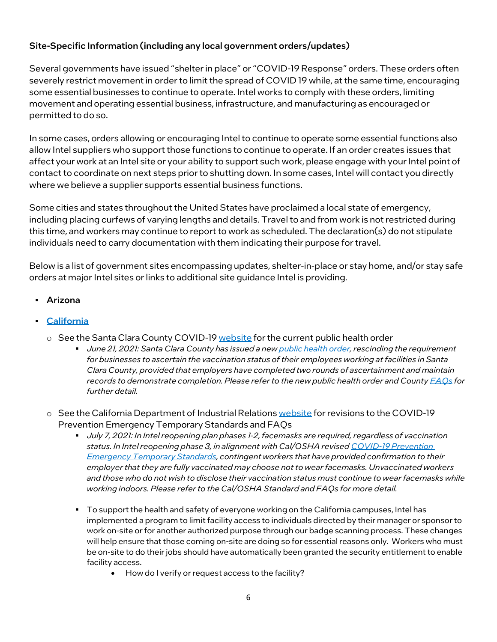## <span id="page-5-0"></span>Site-Specific Information (including any local government orders/updates)

Several governments have issued "shelter in place" or "COVID-19 Response" orders. These orders often severely restrict movement in order to limit the spread of COVID 19 while, at the same time, encouraging some essential businesses to continue to operate. Intel works to comply with these orders, limiting movement and operating essential business, infrastructure, and manufacturing as encouraged or permitted to do so.

In some cases, orders allowing or encouraging Intel to continue to operate some essential functions also allow Intel suppliers who support those functions to continue to operate. If an order creates issues that affect your work at an Intel site or your ability to support such work, please engage with your Intel point of contact to coordinate on next steps prior to shutting down. In some cases, Intel will contact you directly where we believe a supplier supports essential business functions.

Some cities and states throughout the United States have proclaimed a local state of emergency, including placing curfews of varying lengths and details. Travel to and from work is not restricted during this time, and workers may continue to report to work as scheduled. The declaration(s) do not stipulate individuals need to carry documentation with them indicating their purpose for travel.

Below is a list of government sites encompassing updates, shelter-in-place or stay home, and/or stay safe orders at major Intel sites or links to additional site guidance Intel is providing.

- Arizona
- [California](https://covid19.ca.gov/roadmap/#top)
	- $\circ$  See the Santa Clara County COVID-1[9 website](https://covid19.sccgov.org/home) for the current public health order
		- *June 21, 2021: Santa Clara County has issued a ne[w public health order,](https://covid19.sccgov.org/order-health-officer-06-21-2021-phasing-out-May-18-health-order)rescinding the requirement for businesses to ascertain the vaccination status of their employees working at facilities in Santa Clara County, provided that employers have completed two rounds of ascertainment and maintain records to demonstrate completion. Please refer to the new public health order and County [FAQs](https://covid19.sccgov.org/public-health-order-faq) for further detail.*
	- $\circ$  See the California Department of Industrial Relation[s website](https://www.dir.ca.gov/dosh/coronavirus/ETS.html) for revisions to the COVID-19 Prevention Emergency Temporary Standards and FAQs
		- *July 7, 2021: In Intel reopening plan phases 1-2, facemasks are required, regardless of vaccination status. In Intel reopening phase 3, in alignment with Cal/OSHA revise[d COVID-19 Prevention](https://www.dir.ca.gov/dosh/coronavirus/ETS.html)  [Emergency Temporary Standards,](https://www.dir.ca.gov/dosh/coronavirus/ETS.html) contingent workers that have provided confirmation to their employer that they are fully vaccinated may choose not to wear facemasks. Unvaccinated workers and those who do not wish to disclose their vaccination status must continue to wear facemasks while working indoors. Please refer to the Cal/OSHA Standard and FAQs for more detail.*
		- To support the health and safety of everyone working on the California campuses, Intel has implemented a program to limit facility access to individuals directed by their manager or sponsor to work on-site or for another authorized purpose through our badge scanning process. These changes will help ensure that those coming on-site are doing so for essential reasons only. Workers who must be on-site to do their jobs should have automatically been granted the security entitlement to enable facility access.
			- How do I verify or request access to the facility?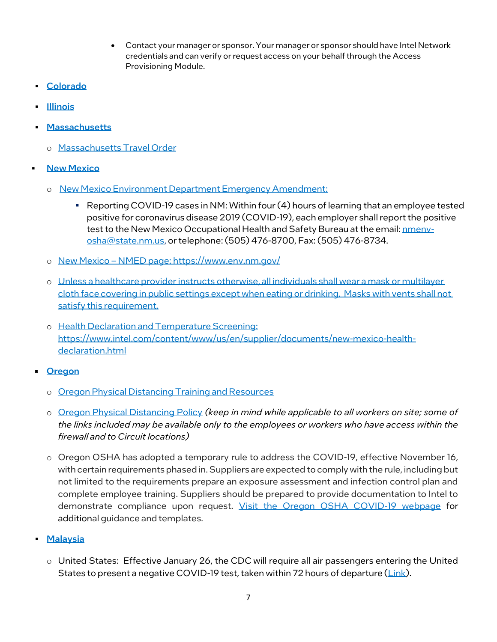- Contact your manager or sponsor. Your manager or sponsor should have Intel Network credentials and can verify or request access on your behalf through the Access Provisioning Module.
- [Colorado](https://covid19.colorado.gov/covid-19-in-colorado/public-health-executive-orders-resource)
- [Illinois](https://coronavirus.illinois.gov/s/)
- [Massachusetts](https://www.mass.gov/info-details/covid-19-updates-and-information)
	- o [Massachusetts Travel Order](https://www.intel.com/content/www/us/en/supplier/documents/massachusetts-travel-order.html)
- <span id="page-6-1"></span><span id="page-6-0"></span>**• [New Mexico](https://cv.nmhealth.org/wp-content/uploads/2020/09/Executive-Order-2020-063.pdf)** 
	- o [New Mexico Environment Department Emergency Amendment:](https://www.env.nm.gov/wp-content/uploads/2020/08/2020-08-05-OHSB-files-emergency-amendment.pdf)
		- Reporting COVID-19 cases in NM: Within four (4) hours of learning that an employee tested positive for coronavirus disease 2019 (COVID-19), each employer shall report the positive test to the New Mexico Occupational Health and Safety Bureau at the email: nmeny[osha@state.nm.us,](mailto:nmenv-osha@state.nm.us) or telephone: (505) 476-8700, Fax: (505) 476-8734.
	- o New Mexico NMED page[: https://www.env.nm.gov/](https://www.env.nm.gov/)
	- o Unless a healthcare provider instructs otherwise, all individuals shall wear a mask or multilayer cloth face covering in public settings except when eating or drinking. Masks with vents shall not satisfy this requirement.
	- o Health Declaration and Temperature Screening: [https://www.intel.com/content/www/us/en/supplier/documents/new-mexico-health](https://www.intel.com/content/www/us/en/supplier/documents/new-mexico-health-declaration.html)[declaration.html](https://www.intel.com/content/www/us/en/supplier/documents/new-mexico-health-declaration.html)
- **[Oregon](https://govstatus.egov.com/or-covid-19/)** 
	- o [Oregon Physical Distancing Training and Resources](https://www.intel.com/content/www/us/en/supplier/documents/oregon-physical-training-and-resources.html)
	- o [Oregon Physical Distancing Policy](https://www.intel.com/content/www/us/en/supplier/documents/oregon-physical-distancing-policy.html) *(keep in mind while applicable to all workers on site; some of the links included may be available only to the employees or workers who have access within the firewall and to Circuit locations)*
	- o Oregon OSHA has adopted a [temporary rule to address the COVID-19,](https://osha.oregon.gov/OSHARules/div1/437-001-0744.pdf) effective November 16, with certain requirements phased in. Suppliers are expected to comply with the rule, including but not limited to the requirements prepare an exposure assessment and infection control plan and complete employee training. Suppliers should be prepared to provide documentation to Intel to demonstrate compliance upon request. [Visit the Oregon OSHA COVID-19 webpage](https://osha.oregon.gov/covid19/Pages/default.aspx) for additional guidance and templates.
- <u>[Malaysia](https://www.intel.com/content/www/us/en/supplier/documents/coronavirus-malaysia-guidance.html)</u>
	- o United States: Effective January 26, the CDC will require all air passengers entering the United States to present a negative COVID-19 test, taken within 72 hours of departure [\(Link\)](https://travel.state.gov/content/travel/en/traveladvisories/ea/covid-19-information.html#ExternalPopup).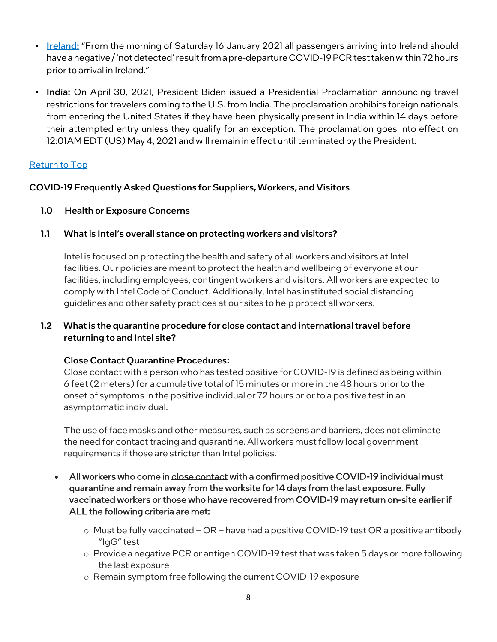- **Example:** "From the morning of Saturday 16 January 2021 all passengers arriving into Ireland should have a negative / 'not detected' result from a pre-departure COVID-19 PCR test taken within 72 hours prior to arrival in Ireland."
- **India:** On April 30, 2021, President Biden issued a [Presidential Proclamation](https://www.whitehouse.gov/briefing-room/presidential-actions/2021/04/30/a-proclamation-on-the-suspension-of-entry-as-nonimmigrants-of-certain-additional-persons-who-pose-a-risk-of-transmitting-coronavirus-disease-2019/) announcing travel restrictions for travelers coming to the U.S. from India. The proclamation prohibits foreign nationals from entering the United States if they have been physically present in India within 14 days before their attempted entry unless they qualify for an exception. The proclamation goes into effect on 12:01AM EDT (US) May 4, 2021 and will remain in effect until terminated by the President.

### [Return to Top](#page-0-1)

### <span id="page-7-0"></span>COVID-19 Frequently Asked Questions for Suppliers, Workers, and Visitors

- <span id="page-7-1"></span>1.0 Health or Exposure Concerns
- 1.1 What is Intel's overall stance on protecting workers and visitors?

<span id="page-7-3"></span>Intel is focused on protecting the health and safety of all workers and visitors at Intel facilities. Our policies are meant to protect the health and wellbeing of everyone at our facilities, including employees, contingent workers and visitors. All workers are expected to comply wit[h Intel Code of Conduct.](https://www.intel.com/content/www/us/en/policy/policy-code-conduct-corporate-information.html) Additionally, Intel has instituted social distancing guidelines and other safety practices at our sites to help protect all workers.

## 1.2 What is the quarantine procedure for close contact and international travel before returning to and Intel site?

## <span id="page-7-2"></span>Close Contact Quarantine Procedures:

Close contact with a person who has tested positive for COVID-19 is defined as being within 6 feet (2 meters) for a cumulative total of 15 minutes or more in the 48 hours prior to the onset of symptoms in the positive individual or 72 hours prior to a positive test in an asymptomatic individual.

The use of face masks and other measures, such as screens and barriers, does not eliminate the need for contact tracing and quarantine. All workers must follow local government requirements if those are stricter than Intel policies.

- All workers who come in close contact with a confirmed positive COVID-19 individual must quarantine and remain away from the worksite for 14 days from the last exposure. Fully vaccinated workers or those who have recovered from COVID-19 may return on-site earlier if ALL the following criteria are met:
	- o Must be fully vaccinated OR have had a positive COVID-19 test OR a positive antibody "IgG" test
	- o Provide a negative PCR or antigen COVID-19 test that was taken 5 days or more following the last exposure
	- o Remain symptom free following the current COVID-19 exposure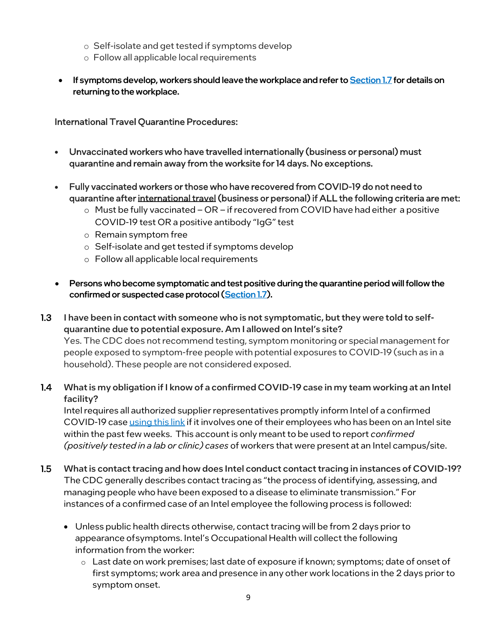- o Self-isolate and get tested if symptoms develop
- o Follow all applicable local requirements
- If symptoms develop, workers should leave the workplace and refer to **Section 1.7** for details on returning to the workplace.

International Travel Quarantine Procedures:

- Unvaccinated workers who have travelled internationally (business or personal) must quarantine and remain away from the worksite for 14 days. No exceptions.
- Fully vaccinated workers or those who have recovered from COVID-19 do not need to quarantine after international travel (business or personal) if ALL the following criteria are met:
	- o Must be fully vaccinated OR if recovered from COVID have had either a positive COVID-19 test OR a positive antibody "IgG" test
	- o Remain symptom free
	- o Self-isolate and get tested if symptoms develop
	- o Follow all applicable local requirements
- Persons who become symptomatic and test positive during the quarantine period will follow the confirmed or suspected case protocol [\(Section 1.7\)](#page-9-0).
- 1.3 I have been in contact with someone who is not symptomatic, but they were told to selfquarantine due to potential exposure. Am I allowed on Intel's site? Yes. The CDC does not recommend testing, symptom monitoring or special management for people exposed to symptom-free people with potential exposures to COVID-19 (such as in a household). These people are not considered exposed.
- <span id="page-8-1"></span>1.4 What is my obligation if I know of a confirmed COVID-19 case in my team working at an Intel facility?

Intel requires all authorized supplier representatives promptly inform Intel of a confirmed COVID-19 case [using this link](https://intelcorporationltd.formstack.com/forms/confirmed_CW_covid19) if it involves one of their employees who has been on an Intel site within the past few weeks. This account is only meant to be used to report *confirmed (positively tested in a lab or clinic) cases* of workers that were present at an Intel campus/site.

- <span id="page-8-0"></span>1.5 What is contact tracing and how does Intel conduct contact tracing in instances of COVID-19? The CDC generally describes contact tracing as "the process of identifying, assessing, and managing people who have been exposed to a disease to eliminate transmission." For instances of a confirmed case of an Intel employee the following process is followed:
	- Unless public health directs otherwise, contact tracing will be from 2 days prior to appearance ofsymptoms. Intel's Occupational Health will collect the following information from the worker:
		- o Last date on work premises; last date of exposure if known; symptoms; date of onset of first symptoms; work area and presence in any other work locations in the 2 days prior to symptom onset.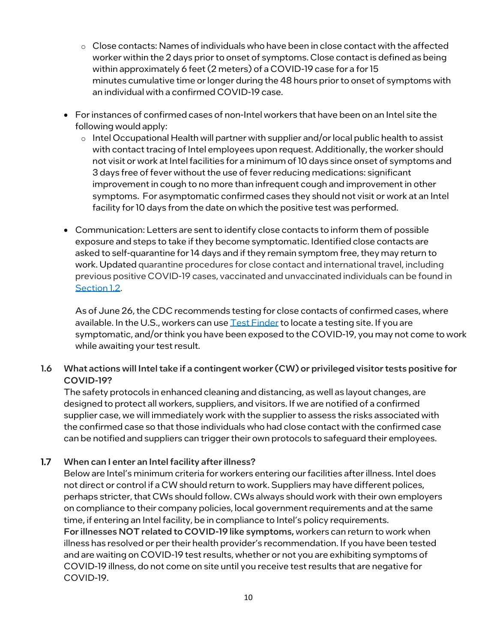- $\circ$  Close contacts: Names of individuals who have been in close contact with the affected worker within the 2 days prior to onset of symptoms. Close contact is defined as being within approximately 6 feet (2 meters) of a COVID-19 case for a for 15 minutes cumulative time or longer during the 48 hours prior to onset of symptoms with an individual with a confirmed COVID-19 case.
- For instances of confirmed cases of non-Intel workers that have been on an Intel site the following would apply:
	- $\circ$  Intel Occupational Health will partner with supplier and/or local public health to assist with contact tracing of Intel employees upon request. Additionally, the worker should not visit or work at Intel facilities for a minimum of 10 days since onset of symptoms and 3 days free of fever without the use of fever reducing medications: significant improvement in cough to no more than infrequent cough and improvement in other symptoms. For asymptomatic confirmed cases they should not visit or work at an Intel facility for 10 days from the date on which the positive test was performed.
- Communication: Letters are sent to identify close contacts to inform them of possible exposure and steps to take if they become symptomatic. Identified close contacts are asked to self-quarantine for 14 days and if they remain symptom free, they may return to work. Updated quarantine procedures for close contact and international travel, including previous positive COVID-19 cases, vaccinated and unvaccinated individuals can be found in [Section 1.2.](#page-7-2)

As of June 26, the CDC recommends testing for close contacts of confirmed cases, where available. In the U.S., workers can use  $Test$  Finder to locate a testing site. If you are symptomatic, and/or think you have been exposed to the COVID-19, you may not come to work while awaiting your test result.

## 1.6 What actions will Intel take if a contingent worker (CW) or privileged visitor tests positive for COVID-19?

The safety protocols in enhanced cleaning and distancing, as well as layout changes, are designed to protect all workers, suppliers, and visitors. If we are notified of a confirmed supplier case, we will immediately work with the supplier to assess the risks associated with the confirmed case so that those individuals who had close contact with the confirmed case can be notified and suppliers can trigger their own protocols to safeguard their employees.

## <span id="page-9-0"></span>1.7 When can I enter an Intel facility after illness?

Below are Intel's minimum criteria for workers entering our facilities after illness. Intel does not direct or control if a CW should return to work. Suppliers may have different polices, perhaps stricter, that CWs should follow. CWs always should work with their own employers on compliance to their company policies, local government requirements and at the same time, if entering an Intel facility, be in compliance to Intel's policy requirements. For illnesses NOT related to COVID-19 like symptoms, workers can return to work when illness has resolved or per their health provider's recommendation. If you have been tested and are waiting on COVID-19 test results, whether or not you are exhibiting symptoms of COVID-19 illness, do not come on site until you receive test results that are negative for COVID-19.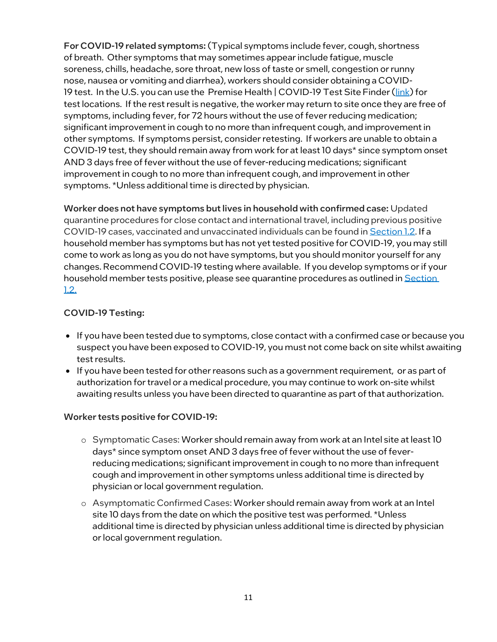For COVID-19 related symptoms: (Typical symptoms include fever, cough, shortness of breath. Other symptoms that may sometimes appear include fatigue, muscle soreness, chills, headache, sore throat, new loss of taste or smell, congestion or runny nose, nausea or vomiting and diarrhea), workers should consider obtaining a COVID-19 test. In the U.S. you can use the Premise Health | COVID-19 Test Site Finder [\(link\)](https://info.premisehealth.com/covid19-test-site-finder) for testlocations. If the rest result is negative, the worker may return to site once they are free of symptoms, including fever, for 72 hours without the use of fever reducing medication; significantimprovement in cough to no more than infrequent cough, and improvement in other symptoms. If symptoms persist, consider retesting. If workers are unable to obtain a COVID-19 test, they should remain away from work for at least 10 days\* since symptom onset AND 3 days free of fever without the use of fever-reducing medications; significant improvement in cough to no more than infrequent cough, and improvement in other symptoms. \*Unless additional time is directed by physician.

Worker does not have symptoms but lives in household with confirmed case: Updated quarantine procedures for close contact and international travel, including previous positive COVID-19 cases, vaccinated and unvaccinated individuals can be found i[n Section 1.2.](#page-7-2) If a household member has symptoms but has not yet tested positive for COVID-19, you may still come to work as long as you do not have symptoms, but you should monitor yourself for any changes. Recommend COVID-19 testing where available. If you develop symptoms or if your household member tests positive, please see quarantine procedures as outlined in Section [1.2.](#page-7-2)

### COVID-19 Testing:

- If you have been tested due to symptoms, close contact with a confirmed case or because you suspect you have been exposed to COVID-19, you must not come back on site whilst awaiting test results.
- If you have been tested for other reasons such as a government requirement, or as part of authorization for travel or a medical procedure, you may continue to work on-site whilst awaiting results unless you have been directed to quarantine as part of that authorization.

#### Worker tests positive for COVID-19:

- o Symptomatic Cases: Worker should remain away from work at an Intel site at least 10 days\* since symptom onset AND 3 days free of fever without the use of feverreducing medications; significant improvement in cough to no more than infrequent cough and improvement in other symptoms unless additional time is directed by physician or local government regulation.
- o Asymptomatic Confirmed Cases: Worker should remain away from work at an Intel site 10 days from the date on which the positive test was performed. \*Unless additional time is directed by physician unless additional time is directed by physician or local government regulation.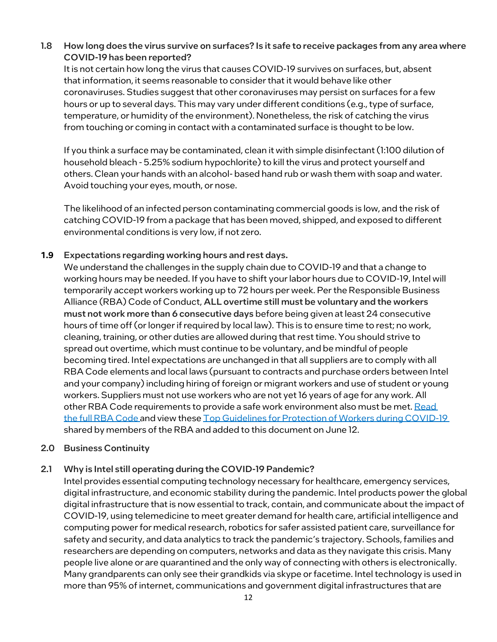## 1.8 How long does the virus survive on surfaces? Is it safe to receive packages from any area where COVID-19 has been reported?

It is not certain how long the virus that causes COVID-19 survives on surfaces, but, absent that information, it seems reasonable to consider that it would behave like other coronaviruses. Studies suggest that other coronaviruses may persist on surfaces for a few hours or up to several days. This may vary under different conditions (e.g., type of surface, temperature, or humidity of the environment). Nonetheless, the risk of catching the virus from touching or coming in contact with a contaminated surface is thought to be low.

If you think a surface may be contaminated, clean it with simple disinfectant (1:100 dilution of household bleach - 5.25% sodium hypochlorite) to kill the virus and protect yourself and others. Clean your hands with an alcohol- based hand rub or wash them with soap and water. Avoid touching your eyes, mouth, or nose.

The likelihood of an infected person contaminating commercial goods is low, and the risk of catching COVID-19 from a package that has been moved, shipped, and exposed to different environmental conditions is very low, if not zero.

### **1.9** Expectations regarding working hours and rest days.

We understand the challenges in the supply chain due to COVID-19 and that a change to working hours may be needed. If you have to shift your labor hours due to COVID-19, Intel will temporarily accept workers working up to 72 hours per week. Perthe Responsible Business Alliance (RBA) [Code of Conduct,](http://www.responsiblebusiness.org/code-of-conduct/) ALL overtime still must be voluntary and the workers must not work more than 6 consecutive days before being given at least 24 consecutive hours of time off (or longer if required by local law). This is to ensure time to rest; no work, cleaning, training, or other duties are allowed during that rest time. You should strive to spread out overtime, which must continue to be voluntary, and be mindful of people becoming tired. Intel expectations are unchanged in that all suppliers are to comply with all RBA Code elements and local laws (pursuant to contracts and purchase orders between Intel and your company) including hiring of foreign or migrant workers and use of student or young workers. Suppliers must not use workers who are not yet 16 years of age for any work. All other RBA Code requirements to provide a safe work environment also must be met. Read [the full RBA Code](http://www.responsiblebusiness.org/code-of-conduct/) and view thes[e Top Guidelines for Protection of Workers during COVID-19](https://www.intel.com/content/www/us/en/supplier/documents/top-guidelines-for-protection-of-workers-during-covid19.html) shared by members of the RBA and added to this document on June 12.

### <span id="page-11-0"></span>2.0 Business Continuity

### 2.1 Why is Intel still operating during the COVID-19 Pandemic?

Intel provides essential computing technology necessary for healthcare, emergency services, digital infrastructure, and economic stability during the pandemic. Intel products power the global digital infrastructure that is now essential to track, contain, and communicate about the impact of COVID-19, using telemedicine to meet greater demand for health care, artificial intelligence and computing power for medical research, robotics for safer assisted patient care, surveillance for safety and security, and data analytics to track the pandemic's trajectory. Schools, families and researchers are depending on computers, networks and data as they navigate this crisis. Many people live alone or are quarantined and the only way of connecting with others is electronically. Many grandparents can only see their grandkids via skype or facetime. Intel technology is used in more than 95% of internet, communications and government digital infrastructures that are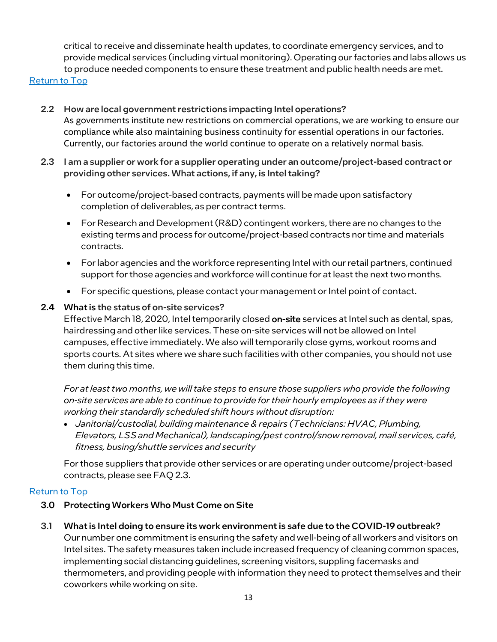critical to receive and disseminate health updates, to coordinate emergency services, and to provide medical services (including virtual monitoring). Operating our factories and labs allows us to produce needed components to ensure these treatment and public health needs are met.

#### [Return to Top](#page-0-1)

- 2.2 How are local government restrictions impacting Intel operations? As governments institute new restrictions on commercial operations, we are working to ensure our compliance while also maintaining business continuity for essential operations in our factories. Currently, our factories around the world continue to operate on a relatively normal basis.
- 2.3 I am a supplier or work for a supplier operating under an outcome/project-based contract or providing other services. What actions, if any, is Intel taking?
	- For outcome/project-based contracts, payments will be made upon satisfactory completion of deliverables, as per contract terms.
	- For Research and Development (R&D) contingent workers, there are no changes to the existing terms and process for outcome/project-based contracts nor time and materials contracts.
	- For labor agencies and the workforce representing Intel with our retail partners, continued support for those agencies and workforce will continue for at least the next two months.
	- For specific questions, please contact your management or Intel point of contact.

#### 2.4 What is the status of on-site services?

Effective March 18, 2020, Intel temporarily closed on-site services at Intel such as dental, spas, hairdressing and other like services. These on-site services will not be allowed on Intel campuses, effective immediately. We also will temporarily close gyms, workout rooms and sports courts. At sites where we share such facilities with other companies, you should not use them during this time.

*For at least two months, we will take steps to ensure those suppliers who provide the following on-site services are able to continue to provide for their hourly employees as if they were working their standardly scheduled shift hours without disruption:*

• *Janitorial/custodial, building maintenance & repairs (Technicians: HVAC, Plumbing, Elevators, LSS and Mechanical), landscaping/pest control/snow removal, mail services, café, fitness, busing/shuttle services and security*

For those suppliers that provide other services or are operating under outcome/project-based contracts, please see FAQ 2.3.

#### <span id="page-12-0"></span>[Return to Top](#page-0-1)

- 3.0 Protecting Workers Who Must Come on Site
- <span id="page-12-1"></span>3.1 What is Intel doing to ensure its work environment is safe due to the COVID-19 outbreak?

Our number one commitment is ensuring the safety and well-being of all workers and visitors on Intel sites. The safety measures taken include increased frequency of cleaning common spaces, implementing social distancing guidelines, screening visitors, suppling facemasks and thermometers, and providing people with information they need to protect themselves and their coworkers while working on site.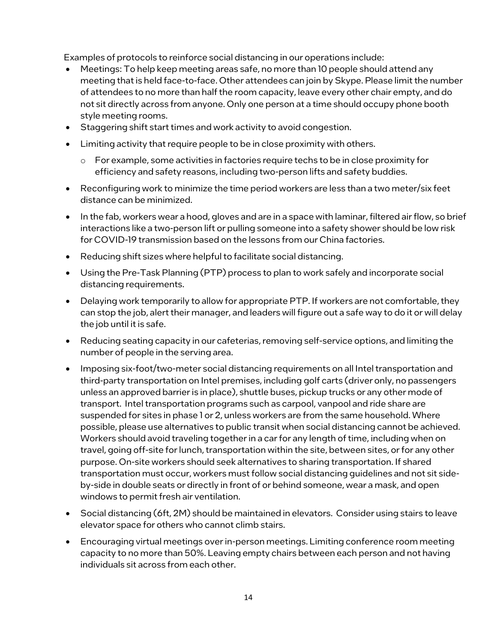Examples of protocols to reinforce social distancing in our operations include:

- Meetings: To help keep meeting areas safe, no more than 10 people should attend any meeting that is held face-to-face. Other attendees can join by Skype. Please limit the number of attendees to no more than half the room capacity, leave every other chair empty, and do not sit directly across from anyone. Only one person at a time should occupy phone booth style meeting rooms.
- Staggering shift start times and work activity to avoid congestion.
- Limiting activity that require people to be in close proximity with others.
	- o For example, some activities in factories require techs to be in close proximity for efficiency and safety reasons, including two-person lifts and safety buddies.
- Reconfiguring work to minimize the time period workers are less than a two meter/six feet distance can be minimized.
- In the fab, workers wear a hood, gloves and are in a space with laminar, filtered air flow, so brief interactions like a two-person lift or pulling someone into a safety shower should be low risk for COVID-19 transmission based on the lessons from our China factories.
- Reducing shift sizes where helpful to facilitate social distancing.
- Using the Pre-Task Planning (PTP) process to plan to work safely and incorporate social distancing requirements.
- Delaying work temporarily to allow for appropriate PTP. If workers are not comfortable, they can stop the job, alert their manager, and leaders will figure out a safe way to do it or will delay the job until it is safe.
- Reducing seating capacity in our cafeterias, removing self-service options, and limiting the number of people in the serving area.
- Imposing six-foot/two-meter social distancing requirements on all Intel transportation and third-party transportation on Intel premises, including golf carts (driver only, no passengers unless an approved barrier is in place), shuttle buses, pickup trucks or any other mode of transport. Intel transportation programs such as carpool, vanpool and ride share are suspended for sites in phase 1 or 2, unless workers are from the same household. Where possible, please use alternatives to public transit when social distancing cannot be achieved. Workers should avoid traveling together in a car for any length of time, including when on travel, going off-site for lunch, transportation within the site, between sites, or for any other purpose. On-site workers should seek alternatives to sharing transportation. If shared transportation must occur, workers must follow social distancing guidelines and not sit sideby-side in double seats or directly in front of or behind someone, wear a mask, and open windows to permit fresh air ventilation.
- Social distancing (6ft, 2M) should be maintained in elevators. Consider using stairs to leave elevator space for others who cannot climb stairs.
- Encouraging virtual meetings over in-person meetings. Limiting conference room meeting capacity to no more than 50%. Leaving empty chairs between each person and not having individuals sit across from each other.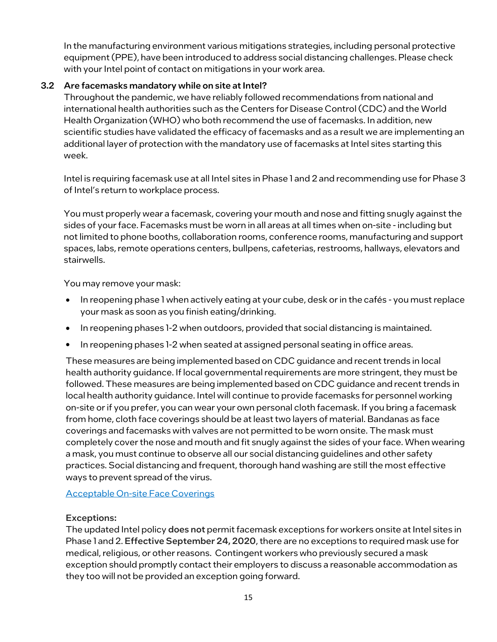In the manufacturing environment various mitigations strategies, including personal protective equipment (PPE), have been introduced to address social distancing challenges. Please check with your Intel point of contact on mitigations in your work area.

## <span id="page-14-0"></span>3.2 Are facemasks mandatory while on site at Intel?

Throughout the pandemic, we have reliably followed recommendations from national and international health authorities such as the Centers for Disease Control (CDC) and the World Health Organization (WHO) who both recommend the use of facemasks. In addition, new scientific studies have validated the efficacy of facemasks and as a result we are implementing an additional layer of protection with the mandatory use of facemasks at Intel sites starting this week.

Intel is requiring facemask use at all Intel sites in Phase 1 and 2 and recommending use for Phase 3 of Intel's return to workplace process.

You must [properly wear a facemask,](https://circuit.intel.com/content/dam/circuit/corp/2020/EnglishSurgicalMaskHowToFINAL6April2020.pdf) covering your mouth and nose and fitting snugly against the sides of your face. Facemasks must be worn in all areas at all times when on-site - including but not limited to phone booths, collaboration rooms, conference rooms, manufacturing and support spaces, labs, remote operations centers, bullpens, cafeterias, restrooms, hallways, elevators and stairwells.

You may remove your mask:

- In reopening phase 1 when actively eating at your cube, desk or in the cafés you mustreplace your mask as soon as you finish eating/drinking.
- In reopening phases 1-2 when outdoors, provided that social distancing is maintained.
- In reopening phases 1-2 when seated at assigned personal seating in office areas.

These measures are being implemented based on CDC guidance and recent trends in local health authority guidance. If local governmental requirements are more stringent, they must be followed. These measures are being implemented based on CDC guidance and recent trends in local health authority guidance. Intel will continue to provide facemasks for personnel working on-site or if you prefer, you can wear your own personal cloth facemask. If you bring a facemask from home[, cloth face coverings](https://circuit.intel.com/content/hr/coronavirus/coronavirus-office-safety.html#facemasks) should be at least two layers of material. Bandanas as face coverings and facemasks with valves are not permitted to be worn onsite. The mask must completely cover the nose and mouth and fit snugly against the sides of your face. When wearing a mask, you must continue to observe all our social distancing guidelines and other safety practices. Social distancing and frequent, thorough hand washing are still the most effective ways to prevent spread of the virus.

[Acceptable On-site Face Coverings](https://www.intel.com/content/www/us/en/supplier/documents/acceptable-face-coverings-or-nm-hudson.html)

### Exceptions:

The updated Intel policy does not permit facemask exceptions for workers onsite at Intel sites in Phase 1 and 2. Effective September 24, 2020, there are no exceptions to required mask use for medical, religious, or other reasons. Contingent workers who previously secured a mask exception should promptly contact their employers to discuss a reasonable accommodation as they too will not be provided an exception going forward.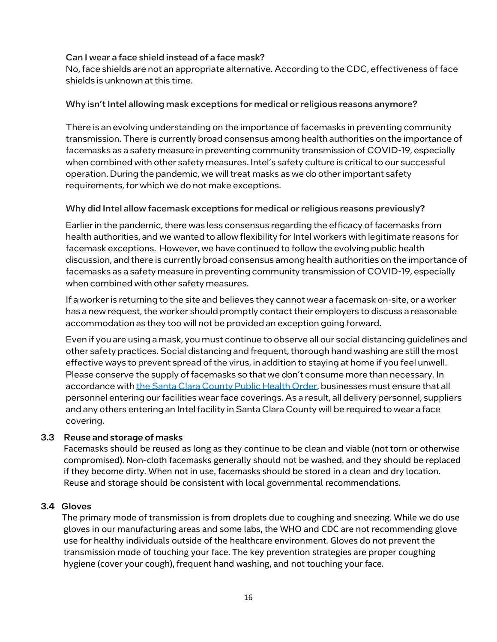#### Can I wear a face shield instead of a face mask?

No, face shields are not an appropriate alternative. According to the CDC, effectiveness of face shields is unknown at this time.

#### Why isn't Intel allowing mask exceptions for medical or religious reasons anymore?

There is an evolving understanding on the importance of facemasks in preventing community transmission. There is currently broad consensus among health authorities on the importance of facemasks as a safety measure in preventing community transmission of COVID-19, especially when combined with other safety measures. Intel's safety culture is critical to our successful operation. During the pandemic, we will treat masks as we do other important safety requirements, for which we do not make exceptions.

#### Why did Intel allow facemask exceptions for medical or religious reasons previously?

Earlier in the pandemic, there was less consensus regarding the efficacy of facemasks from health authorities, and we wanted to allow flexibility for Intel workers with legitimate reasons for facemask exceptions. However, we have continued to follow the evolving public health discussion, and there is currently broad consensus among health authorities on the importance of facemasks as a safety measure in preventing community transmission of COVID-19, especially when combined with other safety measures.

If a worker is returning to the site and believes they cannot wear a facemask on-site, or a worker has a new request, the worker should promptly contact their employers to discuss a reasonable accommodation as they too will not be provided an exception going forward.

Even if you are using a mask, you must continue to observe all our social distancing guidelines and other safety practices. Social distancing and frequent, thorough hand washing are still the most effective ways to prevent spread of the virus, in addition to staying at home if you feel unwell. Please conserve the supply of facemasks so that we don't consume more than necessary. In accordance with [the Santa Clara County Public Health Order,](https://www.sccgov.org/sites/covid19/Pages/public-health-orders.aspx) businesses must ensure that all personnel entering our facilities wear face coverings. As a result, all delivery personnel, suppliers and any others entering an Intel facility in Santa Clara County will be required to wear a face covering.

### 3.3 Reuse and storage of masks

Facemasks should be reused as long as they continue to be clean and viable (not torn or otherwise compromised). Non-cloth facemasks generally should not be washed, and they should be replaced if they become dirty. When not in use, facemasks should be stored in a clean and dry location. Reuse and storage should be consistent with local governmental recommendations.

#### 3.4 Gloves

The primary mode of transmission is from droplets due to coughing and sneezing. While we do use gloves in our manufacturing areas and some labs, the WHO and CDC are not recommending glove use for healthy individuals outside of the healthcare environment. Gloves do not prevent the transmission mode of touching your face. The key prevention strategies are proper coughing hygiene (cover your cough), frequent hand washing, and not touching your face.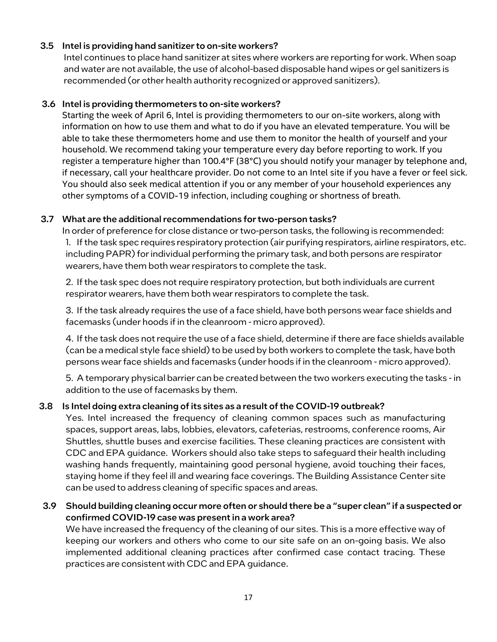### 3.5 Intel is providing hand sanitizer to on-site workers?

Intel continues to place hand sanitizer at sites where workers are reporting for work. When soap and water are not available, the use of alcohol-based disposable hand wipes or gel sanitizers is recommended (or other health authority recognized or approved sanitizers).

#### 3.6 Intel is providing thermometers to on-site workers?

Starting the week of April 6, Intel is providing thermometers to our on-site workers, along with information on how to use them and what to do if you have an elevated temperature. You will be able to take these thermometers home and use them to monitor the health of yourself and your household. We recommend taking your temperature every day before reporting to work. If you register a temperature higher than 100.4°F (38°C) you should notify your manager by telephone and, if necessary, call your healthcare provider. Do not come to an Intel site if you have a fever or feel sick. You should also seek medical attention if you or any member of your household experiences any other symptoms of a COVID-19 infection, including coughing or shortness of breath.

#### 3.7 What are the additional recommendations for two-person tasks?

In order of preference for close distance or two-person tasks, the following is recommended: 1. If the task spec requires respiratory protection (air purifying respirators, airline respirators, etc. including PAPR) for individual performing the primary task, and both persons are respirator wearers, have them both wear respirators to complete the task.

2. If the task spec does not require respiratory protection, but both individuals are current respirator wearers, have them both wear respirators to complete the task.

3. If the task already requires the use of a face shield, have both persons wear face shields and facemasks (under hoods if in the cleanroom - micro approved).

4. If the task does not require the use of a face shield, determine if there are face shields available (can be a medical style face shield) to be used by both workers to complete the task, have both persons wear face shields and facemasks (under hoods if in the cleanroom - micro approved).

5. A temporary physical barrier can be created between the two workers executing the tasks - in addition to the use of facemasks by them.

### 3.8 Is Intel doing extra cleaning of its sites as a result of the COVID-19 outbreak?

Yes. Intel increased the frequency of cleaning common spaces such as manufacturing spaces, support areas, labs, lobbies, elevators, cafeterias, restrooms, conference rooms, Air Shuttles, shuttle buses and exercise facilities. These cleaning practices are consistent with CDC and EPA guidance. Workers should also take steps to safeguard their health including washing hands frequently, maintaining good personal hygiene, avoid touching their faces, staying home if they feel ill and wearing face coverings. The [Building Assistance Center](https://jll-intel.corrigo.com/CP30/sign-in) site can be used to address cleaning of specific spaces and areas.

#### 3.9 Should building cleaning occur more often or should there be a "super clean" if a suspected or confirmed COVID-19 case was present in a work area?

We have increased the frequency of the cleaning of our sites. This is a more effective way of keeping our workers and others who come to our site safe on an on-going basis. We also implemented additional cleaning practices after confirmed case contact tracing. These practices are consistent with CDC and EPA guidance.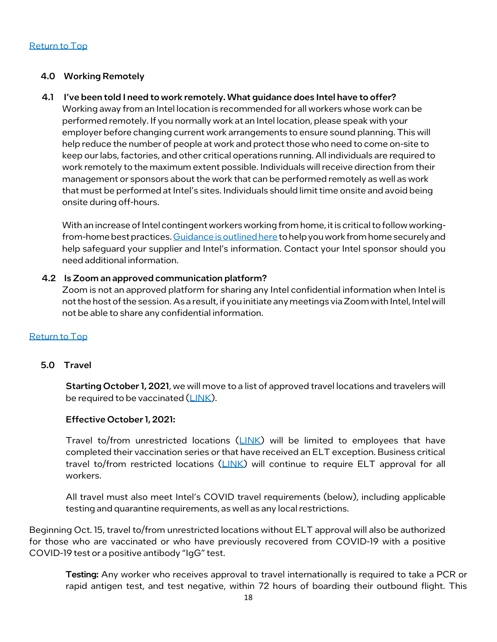#### 4.0 Working Remotely

#### 4.1 I've been told I need to work remotely.What guidance does Intel have to offer?

Working away from an Intel location is recommended for all workers whose work can be performed remotely. If you normally work at an Intel location, please speak with your employer before changing current work arrangements to ensure sound planning. This will help reduce the number of people at work and protect those who need to come on-site to keep our labs, factories, and other critical operations running. All individuals are required to work remotely to the maximum extent possible. Individuals will receive direction from their management or sponsors about the work that can be performed remotely as well as work that must be performed at Intel's sites. Individuals should limit time onsite and avoid being onsite during off-hours.

With an increase of Intel contingent workers working from home, it is critical to follow workingfrom-home best practices[. Guidance is outlined here](https://www.intel.com/content/www/us/en/supplier/documents/work-from-home-securely.html) to help you work from home securely and help safeguard your supplier and Intel's information. Contact your Intel sponsor should you need additional information.

#### 4.2 Is Zoom an approved communication platform?

Zoom is not an approved platform for sharing any Intel confidential information when Intel is not the host of the session. As a result, if you initiate any meetings via Zoom with Intel, Intel will not be able to share any confidential information.

#### [Return to Top](#page-0-1)

#### <span id="page-17-0"></span>5.0 Travel

Starting October 1, 2021, we will move to a list of approved travel locations and travelers will be required to be vaccinated [\(LINK\)](https://www.intel.com/content/www/us/en/supplier/documents/approved-travel-locations.html).

#### Effective October 1, 2021:

Travel to/from unrestricted locations [\(LINK\)](https://www.intel.com/content/www/us/en/supplier/documents/approved-travel-locations.html) will be limited to employees that have completed their vaccination series or that have received an ELT exception. Business critical travel to/from restricted locations [\(LINK\)](https://www.intel.com/content/www/us/en/supplier/documents/approved-travel-locations.html) will continue to require ELT approval for all workers.

All travel must also meet Intel's COVID travel requirements (below), including applicable testing and quarantine requirements, as well as any local restrictions.

Beginning Oct. 15, travel to/from unrestricted locations without ELT approval will also be authorized for those who are vaccinated or who have previously recovered from COVID-19 with a positive COVID-19 test or a positive antibody "IgG" test.

Testing: Any worker who receives approval to travel internationally is required to take a PCR or rapid antigen test, and test negative, within 72 hours of boarding their outbound flight. This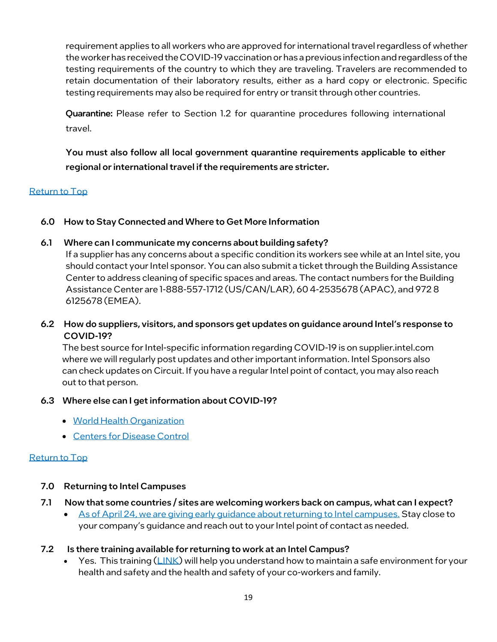requirement applies to all workers who are approved for international travel regardless of whether the workerhas received the COVID-19 vaccination or has a previous infectionand regardless of the testing requirements of the country to which they are traveling. Travelers are recommended to retain documentation of their laboratory results, either as a hard copy or electronic. Specific testing requirements may also be required for entry or transit through other countries.

Quarantine: Please refer to Section 1.2 for quarantine procedures following international travel.

You must also follow all local government quarantine requirements applicable to either regional or international travel if the requirements are stricter.

### [Return to Top](#page-0-1)

<span id="page-18-0"></span>6.0 How to Stay Connected and Where to Get More Information

## 6.1 Where can I communicate my concerns about building safety?

If a supplier has any concerns about a specific condition its workers see while at an Intel site, you should contact your Intel sponsor. You can also submit a ticket through the Building Assistance Center to address cleaning of specific spaces and areas. The contact numbers for the Building Assistance Center are 1-888-557-1712 (US/CAN/LAR), 60 4-2535678 (APAC), and 972 8 6125678 (EMEA).

## 6.2 How do suppliers, visitors, and sponsors get updates on guidance around Intel's response to COVID-19?

The best source for Intel-specific information regarding COVID-19 is on supplier.intel.com where we will regularly post updates and other important information. Intel Sponsors also can check updates on Circuit. If you have a regular Intel point of contact, you may also reach out to that person.

### 6.3 Where else can I get information about COVID-19?

- [World Health](https://www.who.int/emergencies/diseases/novel-coronavirus-2019) Organization
- [Centers for Disease](https://www.cdc.gov/coronavirus/index.html) Control

### [Return to Top](#page-0-1)

## <span id="page-18-1"></span>7.0 Returning to Intel Campuses

- 7.1 Now that some countries / sites are welcoming workers back on campus, what can I expect?
	- [As of April 24, we are giving early guidance about returning to Intel campuses.](https://www.intel.com/content/www/us/en/supplier/documents/coronavirus-return-to-campus-update.html) Stay close to your company's guidance and reach out to your Intel point of contact as needed.
- <span id="page-18-2"></span>7.2 Is there training available for returning to work at an Intel Campus?
	- Yes. This training  $(LINK)$  will help you understand how to maintain a safe environment for your health and safety and the health and safety of your co-workers and family.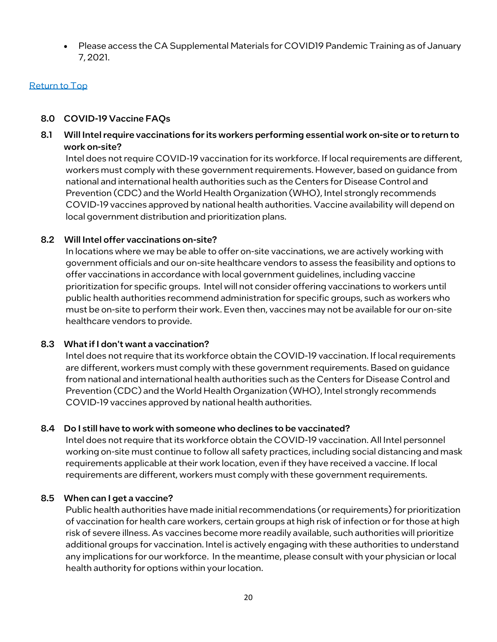• Please access the CA Supplemental Materials for COVID19 Pandemic Training as of January 7, 2021.

### <span id="page-19-0"></span>[Return to Top](#page-0-1)

### 8.0 COVID-19 Vaccine FAQs

8.1 Will Intel require vaccinations for its workers performing essential work on-site or to return to work on-site?

Intel does not require COVID-19 vaccination for its workforce. If local requirements are different, workers must comply with these government requirements. However, based on guidance from national and international health authorities such as the Centers for Disease Control and Prevention (CDC) and the World Health Organization (WHO), Intel strongly recommends COVID-19 vaccines approved by national health authorities. Vaccine availability will depend on local government distribution and prioritization plans.

#### 8.2 Will Intel offer vaccinations on-site?

In locations where we may be able to offer on-site vaccinations, we are actively working with government officials and our on-site healthcare vendors to assess the feasibility and options to offer vaccinations in accordance with local government guidelines, including vaccine prioritization for specific groups. Intel will not consider offering vaccinations to workers until public health authorities recommend administration for specific groups, such as workers who must be on-site to perform their work. Even then, vaccines may not be available for our on-site healthcare vendors to provide.

### 8.3 What if I don't want a vaccination?

Intel does not require that its workforce obtain the COVID-19 vaccination. If local requirements are different, workers must comply with these government requirements. Based on guidance from national and international health authorities such as the Centers for Disease Control and Prevention (CDC) and the World Health Organization (WHO), Intel strongly recommends COVID-19 vaccines approved by national health authorities.

#### 8.4 Do I still have to work with someone who declines to be vaccinated?

Intel does not require that its workforce obtain the COVID-19 vaccination. All Intel personnel working on-site must continue to follow all safety practices, including social distancing and mask requirements applicable at their work location, even if they have received a vaccine. If local requirements are different, workers must comply with these government requirements.

#### 8.5 When can I get a vaccine?

Public health authorities have made initial recommendations (or requirements) for prioritization of vaccination for health care workers, certain groups at high risk of infection or for those at high risk of severe illness. As vaccines become more readily available, such authorities will prioritize additional groups for vaccination. Intel is actively engaging with these authorities to understand any implications for our workforce. In the meantime, please consult with your physician or local health authority for options within your location.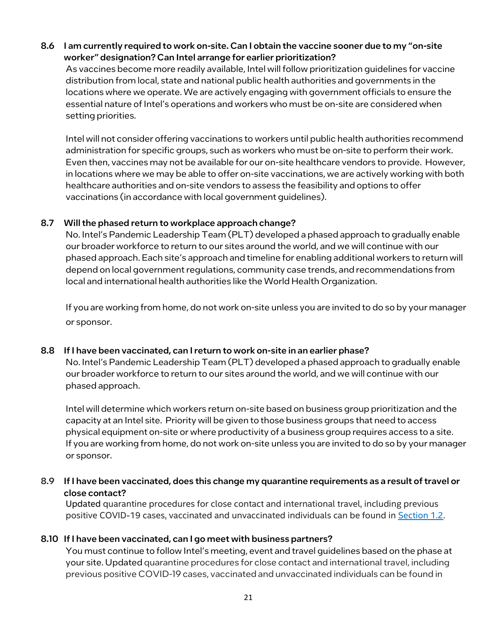## 8.6 I am currently required to work on-site. Can I obtain the vaccine sooner due to my "on-site worker" designation? Can Intel arrange for earlier prioritization?

As vaccines become more readily available, Intel will follow prioritization guidelines for vaccine distribution from local, state and national public health authorities and governments in the locations where we operate. We are actively engaging with government officials to ensure the essential nature of Intel's operations and workers who must be on-site are considered when setting priorities.

Intel will not consider offering vaccinations to workers until public health authorities recommend administration for specific groups, such as workers who must be on-site to perform their work. Even then, vaccines may not be available for our on-site healthcare vendors to provide. However, in locations where we may be able to offer on-site vaccinations, we are actively working with both healthcare authorities and on-site vendors to assess the feasibility and options to offer vaccinations (in accordance with local government guidelines).

### 8.7 Will the phased return to workplace approach change?

No. Intel's Pandemic Leadership Team (PLT) developed a phased approach to gradually enable our broader workforce to return to our sites around the world, and we will continue with our phased approach. Each site's approach and timeline for enabling additional workers to return will depend on local government regulations, community case trends, and recommendations from local and international health authorities like the World Health Organization.

If you are working from home, do not work on-site unless you are invited to do so by your manager or sponsor.

### 8.8 If I have been vaccinated, can I return to work on-site in an earlier phase?

No. Intel's Pandemic Leadership Team (PLT) developed a phased approach to gradually enable our broader workforce to return to our sites around the world, and we will continue with our phased approach.

Intel will determine which workers return on-site based on business group prioritization and the capacity at an Intel site. Priority will be given to those business groups that need to access physical equipment on-site or where productivity of a business group requires access to a site. If you are working from home, do not work on-site unless you are invited to do so by your manager or sponsor.

### 8.9 If I have been vaccinated, does this change my quarantine requirements as a result of travel or close contact?

Updated quarantine procedures for close contact and international travel, including previous positive COVID-19 cases, vaccinated and unvaccinated individuals can be found in [Section 1.2.](#page-7-2)

### 8.10 If I have been vaccinated, can I go meet with business partners?

You must continue to follow Intel's meeting, event and travel guidelines based on the phase at your site. Updated quarantine procedures for close contact and international travel, including previous positive COVID-19 cases, vaccinated and unvaccinated individuals can be found in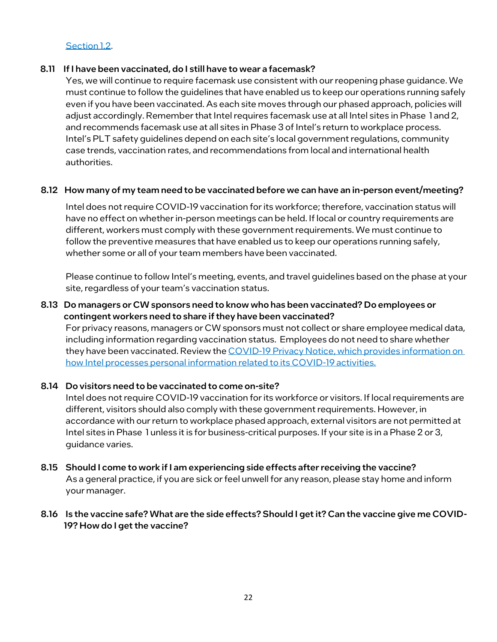### [Section 1.2.](#page-7-2)

#### 8.11 If I have been vaccinated, do I still have to wear a facemask?

Yes, we will continue to require facemask use consistent with our reopening phase guidance. We must continue to follow the guidelines that have enabled us to keep our operations running safely even if you have been vaccinated. As each site moves through our phased approach, policies will adjust accordingly. Remember that Intel requires facemask use at all Intel sites in Phase 1 and 2, and recommends facemask use at all sites in Phase 3 of Intel's return to workplace process. Intel's PLT safety guidelines depend on each site's local government regulations, community case trends, vaccination rates, and recommendations from local and international health authorities.

#### 8.12 How many of my team need to be vaccinated before we can have an in-person event/meeting?

Intel does not require COVID-19 vaccination for its workforce; therefore, vaccination status will have no effect on whether in-person meetings can be held. If local or country requirements are different, workers must comply with these government requirements. We must continue to follow the preventive measures that have enabled us to keep our operations running safely, whether some or all of your team members have been vaccinated.

Please continue to follow Intel's meeting, events, and travel guidelines based on the phase at your site, regardless of your team's vaccination status.

#### 8.13 Do managers or CW sponsors need to know who has been vaccinated? Do employees or contingent workers need to share if they have been vaccinated?

For privacy reasons, managers or CW sponsors must not collect or share employee medical data, including information regarding vaccination status. Employees do not need to share whether they have been vaccinated. Review the COVID-19 Privacy Notice, which provides information on [how Intel processes personal information related to its COVID-19 activities.](#page-22-0)

#### 8.14 Do visitors need to be vaccinated to come on-site?

Intel does not require COVID-19 vaccination for its workforce or visitors. If local requirements are different, visitors should also comply with these government requirements. However, in accordance with our return to workplace phased approach, external visitors are not permitted at Intel sites in Phase 1 unless it is for business-critical purposes. If your site is in a Phase 2 or 3, guidance varies.

8.15 Should I come to work if I am experiencing side effects after receiving the vaccine? As a general practice, if you are sick or feel unwell for any reason, please stay home and inform your manager.

### 8.16 Is the vaccine safe? What are the side effects? Should I get it? Can the vaccine give me COVID-19? How do I get the vaccine?